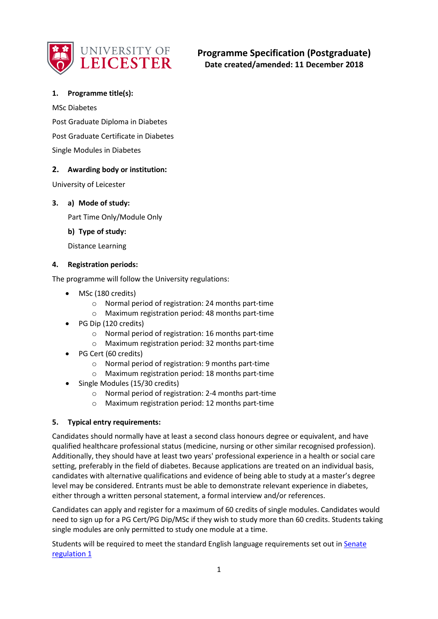

# **Programme Specification (Postgraduate) Date created/amended: 11 December 2018**

# **1. Programme title(s):**

MSc Diabetes

Post Graduate Diploma in Diabetes Post Graduate Certificate in Diabetes Single Modules in Diabetes

# **2. Awarding body or institution:**

University of Leicester

### **3. a) Mode of study:**

Part Time Only/Module Only

### **b) Type of study:**

Distance Learning

### **4. Registration periods:**

The programme will follow the University regulations:

- MSc (180 credits)
	- o Normal period of registration: 24 months part-time
	- o Maximum registration period: 48 months part-time
- PG Dip (120 credits)
	- o Normal period of registration: 16 months part-time
	- o Maximum registration period: 32 months part-time
- PG Cert (60 credits)
	- o Normal period of registration: 9 months part-time
	- o Maximum registration period: 18 months part-time
- Single Modules (15/30 credits)
	- o Normal period of registration: 2-4 months part-time
	- o Maximum registration period: 12 months part-time

### **5. Typical entry requirements:**

Candidates should normally have at least a second class honours degree or equivalent, and have qualified healthcare professional status (medicine, nursing or other similar recognised profession). Additionally, they should have at least two years' professional experience in a health or social care setting, preferably in the field of diabetes. Because applications are treated on an individual basis, candidates with alternative qualifications and evidence of being able to study at a master's degree level may be considered. Entrants must be able to demonstrate relevant experience in diabetes, either through a written personal statement, a formal interview and/or references.

Candidates can apply and register for a maximum of 60 credits of single modules. Candidates would need to sign up for a PG Cert/PG Dip/MSc if they wish to study more than 60 credits. Students taking single modules are only permitted to study one module at a time.

Students will be required to meet the standard English language requirements set out in [Senate](https://www2.le.ac.uk/offices/sas2/regulations/documents/senatereg1-entry)  [regulation 1](https://www2.le.ac.uk/offices/sas2/regulations/documents/senatereg1-entry)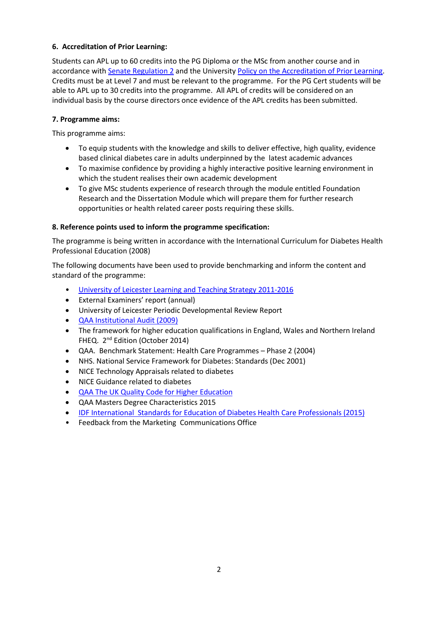# **6. Accreditation of Prior Learning:**

Students can APL up to 60 credits into the PG Diploma or the MSc from another course and in accordance with [Senate Regulation 2](http://www.le.ac.uk/senate-regulation2) and the University [Policy on the Accreditation of Prior Learning.](http://www2.le.ac.uk/offices/sas2/quality/accreditation-of-prior-learning) Credits must be at Level 7 and must be relevant to the programme. For the PG Cert students will be able to APL up to 30 credits into the programme. All APL of credits will be considered on an individual basis by the course directors once evidence of the APL credits has been submitted.

## **7. Programme aims:**

This programme aims:

- To equip students with the knowledge and skills to deliver effective, high quality, evidence based clinical diabetes care in adults underpinned by the latest academic advances
- To maximise confidence by providing a highly interactive positive learning environment in which the student realises their own academic development
- To give MSc students experience of research through the module entitled Foundation Research and the Dissertation Module which will prepare them for further research opportunities or health related career posts requiring these skills.

### **8. Reference points used to inform the programme specification:**

The programme is being written in accordance with the International Curriculum for Diabetes Health Professional Education (2008)

The following documents have been used to provide benchmarking and inform the content and standard of the programme:

- [University of Leicester Learning and Teaching Strategy 2011-2016](http://www2.le.ac.uk/offices/sas2/quality/learnteach)
- External Examiners' report (annual)
- University of Leicester Periodic Developmental Review Report
- [QAA Institutional Audit \(2009\)](http://www.qaa.ac.uk/docs/qaa/reports/university-of-leicester-ia-09.pdf?sfvrsn=b078f581_4)
- The framework for higher education qualifications in England, Wales and Northern Ireland FHEQ. 2<sup>nd</sup> Edition (October 2014)
- QAA. Benchmark Statement: Health Care Programmes Phase 2 (2004)
- NHS. National Service Framework for Diabetes: Standards (Dec 2001)
- NICE Technology Appraisals related to diabetes
- NICE Guidance related to diabetes
- [QAA The UK Quality Code for Higher Education](http://qaa.ac.uk/en/quality-code/the-existing-uk-quality-code)
- QAA Masters Degree Characteristics 2015
- [IDF International Standards for Education of Diabetes Health Care Professionals \(2015\)](https://www.idf.org/our-activities/advocacy-awareness/resources-and-tools/63:international-standards-for-education-of-diabetes-health-professionals.html)
- Feedback from the Marketing Communications Office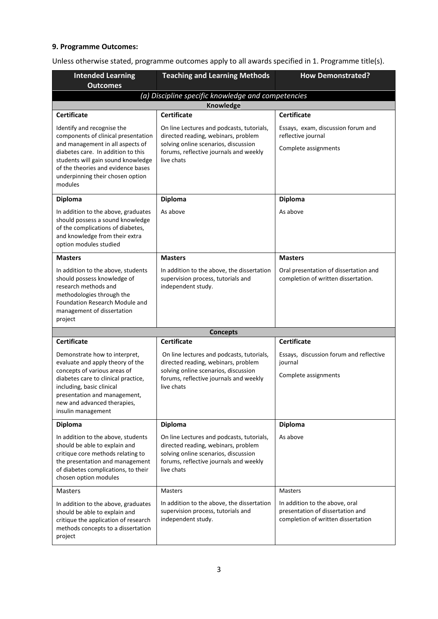### **9. Programme Outcomes:**

Unless otherwise stated, programme outcomes apply to all awards specified in 1. Programme title(s).

| <b>Intended Learning</b><br><b>Outcomes</b>                                                                                                                                                                                                                            | <b>Teaching and Learning Methods</b>                                                                                                                                             | <b>How Demonstrated?</b>                                                                                 |  |
|------------------------------------------------------------------------------------------------------------------------------------------------------------------------------------------------------------------------------------------------------------------------|----------------------------------------------------------------------------------------------------------------------------------------------------------------------------------|----------------------------------------------------------------------------------------------------------|--|
| (a) Discipline specific knowledge and competencies                                                                                                                                                                                                                     |                                                                                                                                                                                  |                                                                                                          |  |
|                                                                                                                                                                                                                                                                        | <b>Knowledge</b>                                                                                                                                                                 |                                                                                                          |  |
| <b>Certificate</b>                                                                                                                                                                                                                                                     | <b>Certificate</b>                                                                                                                                                               | <b>Certificate</b>                                                                                       |  |
| Identify and recognise the<br>components of clinical presentation<br>and management in all aspects of<br>diabetes care. In addition to this<br>students will gain sound knowledge<br>of the theories and evidence bases<br>underpinning their chosen option<br>modules | On line Lectures and podcasts, tutorials,<br>directed reading, webinars, problem<br>solving online scenarios, discussion<br>forums, reflective journals and weekly<br>live chats | Essays, exam, discussion forum and<br>reflective journal<br>Complete assignments                         |  |
| <b>Diploma</b>                                                                                                                                                                                                                                                         | Diploma                                                                                                                                                                          | Diploma                                                                                                  |  |
| In addition to the above, graduates<br>should possess a sound knowledge<br>of the complications of diabetes,<br>and knowledge from their extra<br>option modules studied                                                                                               | As above                                                                                                                                                                         | As above                                                                                                 |  |
| <b>Masters</b>                                                                                                                                                                                                                                                         | <b>Masters</b>                                                                                                                                                                   | <b>Masters</b>                                                                                           |  |
| In addition to the above, students<br>should possess knowledge of<br>research methods and<br>methodologies through the<br>Foundation Research Module and<br>management of dissertation<br>project                                                                      | In addition to the above, the dissertation<br>supervision process, tutorials and<br>independent study.                                                                           | Oral presentation of dissertation and<br>completion of written dissertation.                             |  |
|                                                                                                                                                                                                                                                                        | <b>Concepts</b>                                                                                                                                                                  |                                                                                                          |  |
| <b>Certificate</b>                                                                                                                                                                                                                                                     | <b>Certificate</b>                                                                                                                                                               | <b>Certificate</b>                                                                                       |  |
| Demonstrate how to interpret,<br>evaluate and apply theory of the<br>concepts of various areas of<br>diabetes care to clinical practice,<br>including, basic clinical<br>presentation and management,<br>new and advanced therapies,<br>insulin management             | On line lectures and podcasts, tutorials,<br>directed reading, webinars, problem<br>solving online scenarios, discussion<br>forums, reflective journals and weekly<br>live chats | Essays, discussion forum and reflective<br>journal<br>Complete assignments                               |  |
| <b>Diploma</b>                                                                                                                                                                                                                                                         | Diploma                                                                                                                                                                          | Diploma                                                                                                  |  |
| In addition to the above, students<br>should be able to explain and<br>critique core methods relating to<br>the presentation and management<br>of diabetes complications, to their<br>chosen option modules                                                            | On line Lectures and podcasts, tutorials,<br>directed reading, webinars, problem<br>solving online scenarios, discussion<br>forums, reflective journals and weekly<br>live chats | As above                                                                                                 |  |
| <b>Masters</b>                                                                                                                                                                                                                                                         | <b>Masters</b>                                                                                                                                                                   | <b>Masters</b>                                                                                           |  |
| In addition to the above, graduates<br>should be able to explain and<br>critique the application of research<br>methods concepts to a dissertation<br>project                                                                                                          | In addition to the above, the dissertation<br>supervision process, tutorials and<br>independent study.                                                                           | In addition to the above, oral<br>presentation of dissertation and<br>completion of written dissertation |  |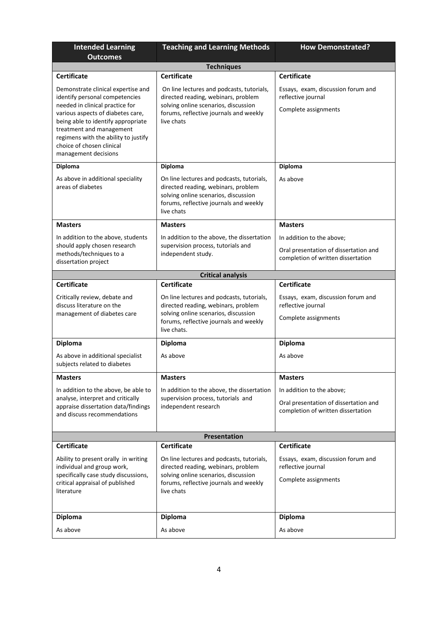| <b>Intended Learning</b><br><b>Outcomes</b>                                                                                                                                                                                                                                                                 | <b>Teaching and Learning Methods</b>                                                                                                                                              | <b>How Demonstrated?</b>                                                                                 |  |  |
|-------------------------------------------------------------------------------------------------------------------------------------------------------------------------------------------------------------------------------------------------------------------------------------------------------------|-----------------------------------------------------------------------------------------------------------------------------------------------------------------------------------|----------------------------------------------------------------------------------------------------------|--|--|
|                                                                                                                                                                                                                                                                                                             | <b>Techniques</b>                                                                                                                                                                 |                                                                                                          |  |  |
| <b>Certificate</b>                                                                                                                                                                                                                                                                                          | <b>Certificate</b>                                                                                                                                                                | <b>Certificate</b>                                                                                       |  |  |
| Demonstrate clinical expertise and<br>identify personal competencies<br>needed in clinical practice for<br>various aspects of diabetes care,<br>being able to identify appropriate<br>treatment and management<br>regimens with the ability to justify<br>choice of chosen clinical<br>management decisions | On line lectures and podcasts, tutorials,<br>directed reading, webinars, problem<br>solving online scenarios, discussion<br>forums, reflective journals and weekly<br>live chats  | Essays, exam, discussion forum and<br>reflective journal<br>Complete assignments                         |  |  |
| <b>Diploma</b>                                                                                                                                                                                                                                                                                              | <b>Diploma</b>                                                                                                                                                                    | <b>Diploma</b>                                                                                           |  |  |
| As above in additional speciality<br>areas of diabetes                                                                                                                                                                                                                                                      | On line lectures and podcasts, tutorials,<br>directed reading, webinars, problem<br>solving online scenarios, discussion<br>forums, reflective journals and weekly<br>live chats  | As above                                                                                                 |  |  |
| <b>Masters</b>                                                                                                                                                                                                                                                                                              | <b>Masters</b>                                                                                                                                                                    | <b>Masters</b>                                                                                           |  |  |
| In addition to the above, students<br>should apply chosen research<br>methods/techniques to a<br>dissertation project                                                                                                                                                                                       | In addition to the above, the dissertation<br>supervision process, tutorials and<br>independent study.                                                                            | In addition to the above;<br>Oral presentation of dissertation and<br>completion of written dissertation |  |  |
|                                                                                                                                                                                                                                                                                                             | <b>Critical analysis</b>                                                                                                                                                          |                                                                                                          |  |  |
| <b>Certificate</b>                                                                                                                                                                                                                                                                                          | <b>Certificate</b>                                                                                                                                                                | <b>Certificate</b>                                                                                       |  |  |
| Critically review, debate and<br>discuss literature on the<br>management of diabetes care                                                                                                                                                                                                                   | On line lectures and podcasts, tutorials,<br>directed reading, webinars, problem<br>solving online scenarios, discussion<br>forums, reflective journals and weekly<br>live chats. | Essays, exam, discussion forum and<br>reflective journal<br>Complete assignments                         |  |  |
| <b>Diploma</b>                                                                                                                                                                                                                                                                                              | <b>Diploma</b>                                                                                                                                                                    | Diploma                                                                                                  |  |  |
| As above in additional specialist<br>subjects related to diabetes                                                                                                                                                                                                                                           | As above                                                                                                                                                                          | As above                                                                                                 |  |  |
| <b>Masters</b>                                                                                                                                                                                                                                                                                              | <b>Masters</b>                                                                                                                                                                    | <b>Masters</b>                                                                                           |  |  |
| In addition to the above, be able to<br>analyse, interpret and critically<br>appraise dissertation data/findings<br>and discuss recommendations                                                                                                                                                             | In addition to the above, the dissertation<br>supervision process, tutorials and<br>independent research                                                                          | In addition to the above;<br>Oral presentation of dissertation and<br>completion of written dissertation |  |  |
|                                                                                                                                                                                                                                                                                                             | <b>Presentation</b>                                                                                                                                                               |                                                                                                          |  |  |
| <b>Certificate</b>                                                                                                                                                                                                                                                                                          | <b>Certificate</b>                                                                                                                                                                | <b>Certificate</b>                                                                                       |  |  |
| Ability to present orally in writing<br>individual and group work,<br>specifically case study discussions,<br>critical appraisal of published<br>literature                                                                                                                                                 | On line lectures and podcasts, tutorials,<br>directed reading, webinars, problem<br>solving online scenarios, discussion<br>forums, reflective journals and weekly<br>live chats  | Essays, exam, discussion forum and<br>reflective journal<br>Complete assignments                         |  |  |
| <b>Diploma</b>                                                                                                                                                                                                                                                                                              | <b>Diploma</b>                                                                                                                                                                    | Diploma                                                                                                  |  |  |
| As above                                                                                                                                                                                                                                                                                                    | As above                                                                                                                                                                          | As above                                                                                                 |  |  |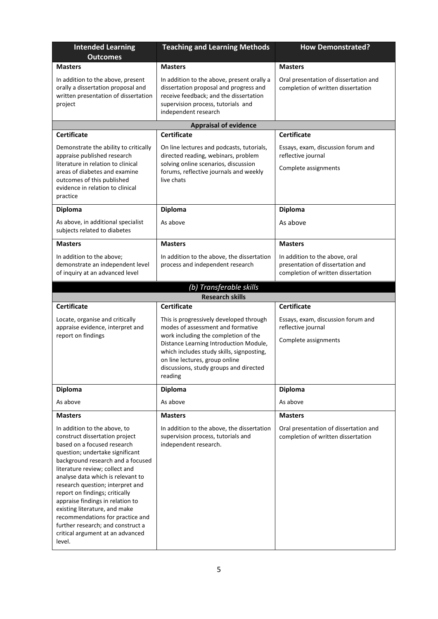| <b>Intended Learning</b><br><b>Outcomes</b>                                                                                                                                                                                                                                                                                                                                                                                                                                                                    | <b>Teaching and Learning Methods</b>                                                                                                                                                                                                                                                               | <b>How Demonstrated?</b>                                                                                 |  |  |
|----------------------------------------------------------------------------------------------------------------------------------------------------------------------------------------------------------------------------------------------------------------------------------------------------------------------------------------------------------------------------------------------------------------------------------------------------------------------------------------------------------------|----------------------------------------------------------------------------------------------------------------------------------------------------------------------------------------------------------------------------------------------------------------------------------------------------|----------------------------------------------------------------------------------------------------------|--|--|
| <b>Masters</b>                                                                                                                                                                                                                                                                                                                                                                                                                                                                                                 | <b>Masters</b>                                                                                                                                                                                                                                                                                     | <b>Masters</b>                                                                                           |  |  |
| In addition to the above, present<br>orally a dissertation proposal and<br>written presentation of dissertation<br>project                                                                                                                                                                                                                                                                                                                                                                                     | In addition to the above, present orally a<br>dissertation proposal and progress and<br>receive feedback; and the dissertation<br>supervision process, tutorials and<br>independent research                                                                                                       | Oral presentation of dissertation and<br>completion of written dissertation                              |  |  |
|                                                                                                                                                                                                                                                                                                                                                                                                                                                                                                                | <b>Appraisal of evidence</b>                                                                                                                                                                                                                                                                       |                                                                                                          |  |  |
| <b>Certificate</b>                                                                                                                                                                                                                                                                                                                                                                                                                                                                                             | <b>Certificate</b>                                                                                                                                                                                                                                                                                 | <b>Certificate</b>                                                                                       |  |  |
| Demonstrate the ability to critically<br>appraise published research<br>literature in relation to clinical<br>areas of diabetes and examine<br>outcomes of this published<br>evidence in relation to clinical<br>practice                                                                                                                                                                                                                                                                                      | On line lectures and podcasts, tutorials,<br>directed reading, webinars, problem<br>solving online scenarios, discussion<br>forums, reflective journals and weekly<br>live chats                                                                                                                   | Essays, exam, discussion forum and<br>reflective journal<br>Complete assignments                         |  |  |
| <b>Diploma</b>                                                                                                                                                                                                                                                                                                                                                                                                                                                                                                 | <b>Diploma</b>                                                                                                                                                                                                                                                                                     | <b>Diploma</b>                                                                                           |  |  |
| As above, in additional specialist<br>subjects related to diabetes                                                                                                                                                                                                                                                                                                                                                                                                                                             | As above                                                                                                                                                                                                                                                                                           | As above                                                                                                 |  |  |
| <b>Masters</b>                                                                                                                                                                                                                                                                                                                                                                                                                                                                                                 | <b>Masters</b>                                                                                                                                                                                                                                                                                     | <b>Masters</b>                                                                                           |  |  |
| In addition to the above;<br>demonstrate an independent level<br>of inquiry at an advanced level                                                                                                                                                                                                                                                                                                                                                                                                               | In addition to the above, the dissertation<br>process and independent research                                                                                                                                                                                                                     | In addition to the above, oral<br>presentation of dissertation and<br>completion of written dissertation |  |  |
|                                                                                                                                                                                                                                                                                                                                                                                                                                                                                                                | (b) Transferable skills                                                                                                                                                                                                                                                                            |                                                                                                          |  |  |
| <b>Certificate</b>                                                                                                                                                                                                                                                                                                                                                                                                                                                                                             | <b>Research skills</b><br><b>Certificate</b>                                                                                                                                                                                                                                                       | <b>Certificate</b>                                                                                       |  |  |
| Locate, organise and critically<br>appraise evidence, interpret and<br>report on findings                                                                                                                                                                                                                                                                                                                                                                                                                      | This is progressively developed through<br>modes of assessment and formative<br>work including the completion of the<br>Distance Learning Introduction Module,<br>which includes study skills, signposting,<br>on line lectures, group online<br>discussions, study groups and directed<br>reading | Essays, exam, discussion forum and<br>reflective journal<br>Complete assignments                         |  |  |
| Diploma                                                                                                                                                                                                                                                                                                                                                                                                                                                                                                        | Diploma                                                                                                                                                                                                                                                                                            | <b>Diploma</b>                                                                                           |  |  |
| As above                                                                                                                                                                                                                                                                                                                                                                                                                                                                                                       | As above                                                                                                                                                                                                                                                                                           | As above                                                                                                 |  |  |
| <b>Masters</b>                                                                                                                                                                                                                                                                                                                                                                                                                                                                                                 | <b>Masters</b>                                                                                                                                                                                                                                                                                     | <b>Masters</b>                                                                                           |  |  |
| In addition to the above, to<br>construct dissertation project<br>based on a focused research<br>question; undertake significant<br>background research and a focused<br>literature review; collect and<br>analyse data which is relevant to<br>research question; interpret and<br>report on findings; critically<br>appraise findings in relation to<br>existing literature, and make<br>recommendations for practice and<br>further research; and construct a<br>critical argument at an advanced<br>level. | In addition to the above, the dissertation<br>supervision process, tutorials and<br>independent research.                                                                                                                                                                                          | Oral presentation of dissertation and<br>completion of written dissertation                              |  |  |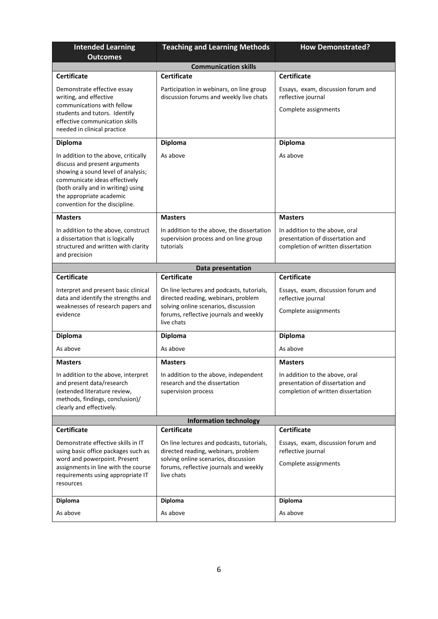| <b>Intended Learning</b><br><b>Outcomes</b>                                                                                                                                                                                                      | <b>Teaching and Learning Methods</b>                                                                                                                                             | <b>How Demonstrated?</b>                                                                                 |  |
|--------------------------------------------------------------------------------------------------------------------------------------------------------------------------------------------------------------------------------------------------|----------------------------------------------------------------------------------------------------------------------------------------------------------------------------------|----------------------------------------------------------------------------------------------------------|--|
|                                                                                                                                                                                                                                                  | <b>Communication skills</b>                                                                                                                                                      |                                                                                                          |  |
| <b>Certificate</b>                                                                                                                                                                                                                               | <b>Certificate</b>                                                                                                                                                               | <b>Certificate</b>                                                                                       |  |
| Demonstrate effective essay<br>writing, and effective<br>communications with fellow<br>students and tutors. Identify<br>effective communication skills<br>needed in clinical practice                                                            | Participation in webinars, on line group<br>discussion forums and weekly live chats                                                                                              | Essays, exam, discussion forum and<br>reflective journal<br>Complete assignments                         |  |
| <b>Diploma</b>                                                                                                                                                                                                                                   | <b>Diploma</b>                                                                                                                                                                   | <b>Diploma</b>                                                                                           |  |
| In addition to the above, critically<br>discuss and present arguments<br>showing a sound level of analysis;<br>communicate ideas effectively<br>(both orally and in writing) using<br>the appropriate academic<br>convention for the discipline. | As above                                                                                                                                                                         | As above                                                                                                 |  |
| <b>Masters</b>                                                                                                                                                                                                                                   | <b>Masters</b>                                                                                                                                                                   | <b>Masters</b>                                                                                           |  |
| In addition to the above, construct<br>a dissertation that is logically<br>structured and written with clarity<br>and precision                                                                                                                  | In addition to the above, the dissertation<br>supervision process and on line group<br>tutorials                                                                                 | In addition to the above, oral<br>presentation of dissertation and<br>completion of written dissertation |  |
|                                                                                                                                                                                                                                                  | Data presentation                                                                                                                                                                |                                                                                                          |  |
| <b>Certificate</b>                                                                                                                                                                                                                               | <b>Certificate</b>                                                                                                                                                               | <b>Certificate</b>                                                                                       |  |
| Interpret and present basic clinical<br>data and identify the strengths and<br>weaknesses of research papers and<br>evidence                                                                                                                     | On line lectures and podcasts, tutorials,<br>directed reading, webinars, problem<br>solving online scenarios, discussion<br>forums, reflective journals and weekly<br>live chats | Essays, exam, discussion forum and<br>reflective journal<br>Complete assignments                         |  |
| <b>Diploma</b>                                                                                                                                                                                                                                   | <b>Diploma</b>                                                                                                                                                                   | Diploma                                                                                                  |  |
| As above                                                                                                                                                                                                                                         | As above                                                                                                                                                                         | As above                                                                                                 |  |
| <b>Masters</b>                                                                                                                                                                                                                                   | <b>Masters</b>                                                                                                                                                                   | <b>Masters</b>                                                                                           |  |
| In addition to the above, interpret<br>and present data/research<br>(extended literature review,<br>methods, findings, conclusion)/<br>clearly and effectively.                                                                                  | In addition to the above, independent<br>research and the dissertation<br>supervision process                                                                                    | In addition to the above, oral<br>presentation of dissertation and<br>completion of written dissertation |  |
| <b>Information technology</b>                                                                                                                                                                                                                    |                                                                                                                                                                                  |                                                                                                          |  |
| <b>Certificate</b>                                                                                                                                                                                                                               | <b>Certificate</b>                                                                                                                                                               | <b>Certificate</b>                                                                                       |  |
| Demonstrate effective skills in IT<br>using basic office packages such as<br>word and powerpoint. Present<br>assignments in line with the course<br>requirements using appropriate IT<br>resources                                               | On line lectures and podcasts, tutorials,<br>directed reading, webinars, problem<br>solving online scenarios, discussion<br>forums, reflective journals and weekly<br>live chats | Essays, exam, discussion forum and<br>reflective journal<br>Complete assignments                         |  |
| Diploma                                                                                                                                                                                                                                          | Diploma                                                                                                                                                                          | <b>Diploma</b>                                                                                           |  |
| As above                                                                                                                                                                                                                                         | As above                                                                                                                                                                         | As above                                                                                                 |  |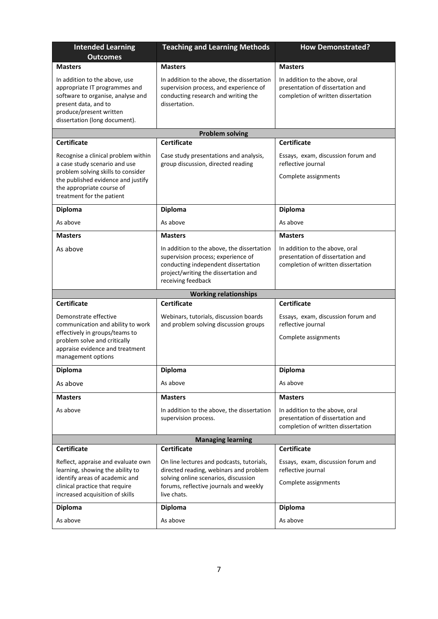| <b>Intended Learning</b><br><b>Outcomes</b>                                                                                                                                                                | <b>Teaching and Learning Methods</b>                                                                                                                                                  | <b>How Demonstrated?</b>                                                                                 |  |
|------------------------------------------------------------------------------------------------------------------------------------------------------------------------------------------------------------|---------------------------------------------------------------------------------------------------------------------------------------------------------------------------------------|----------------------------------------------------------------------------------------------------------|--|
| <b>Masters</b>                                                                                                                                                                                             | <b>Masters</b>                                                                                                                                                                        | <b>Masters</b>                                                                                           |  |
| In addition to the above, use<br>appropriate IT programmes and<br>software to organise, analyse and<br>present data, and to<br>produce/present written<br>dissertation (long document).                    | In addition to the above, the dissertation<br>supervision process, and experience of<br>conducting research and writing the<br>dissertation.                                          | In addition to the above, oral<br>presentation of dissertation and<br>completion of written dissertation |  |
|                                                                                                                                                                                                            | <b>Problem solving</b>                                                                                                                                                                |                                                                                                          |  |
| <b>Certificate</b>                                                                                                                                                                                         | <b>Certificate</b>                                                                                                                                                                    | <b>Certificate</b>                                                                                       |  |
| Recognise a clinical problem within<br>a case study scenario and use<br>problem solving skills to consider<br>the published evidence and justify<br>the appropriate course of<br>treatment for the patient | Case study presentations and analysis,<br>group discussion, directed reading                                                                                                          | Essays, exam, discussion forum and<br>reflective journal<br>Complete assignments                         |  |
| Diploma                                                                                                                                                                                                    | <b>Diploma</b>                                                                                                                                                                        | Diploma                                                                                                  |  |
| As above                                                                                                                                                                                                   | As above                                                                                                                                                                              | As above                                                                                                 |  |
| <b>Masters</b>                                                                                                                                                                                             | <b>Masters</b>                                                                                                                                                                        | <b>Masters</b>                                                                                           |  |
| As above                                                                                                                                                                                                   | In addition to the above, the dissertation<br>supervision process; experience of<br>conducting independent dissertation<br>project/writing the dissertation and<br>receiving feedback | In addition to the above, oral<br>presentation of dissertation and<br>completion of written dissertation |  |
|                                                                                                                                                                                                            | <b>Working relationships</b>                                                                                                                                                          |                                                                                                          |  |
| <b>Certificate</b>                                                                                                                                                                                         | <b>Certificate</b>                                                                                                                                                                    | <b>Certificate</b>                                                                                       |  |
| Demonstrate effective<br>communication and ability to work<br>effectively in groups/teams to<br>problem solve and critically<br>appraise evidence and treatment<br>management options                      | Webinars, tutorials, discussion boards<br>and problem solving discussion groups                                                                                                       | Essays, exam, discussion forum and<br>reflective journal<br>Complete assignments                         |  |
| <b>Diploma</b>                                                                                                                                                                                             | <b>Diploma</b>                                                                                                                                                                        | Diploma                                                                                                  |  |
| As above                                                                                                                                                                                                   | As above                                                                                                                                                                              | As above                                                                                                 |  |
| <b>Masters</b>                                                                                                                                                                                             | <b>Masters</b>                                                                                                                                                                        | <b>Masters</b>                                                                                           |  |
| As above                                                                                                                                                                                                   | In addition to the above, the dissertation<br>supervision process.                                                                                                                    | In addition to the above, oral<br>presentation of dissertation and<br>completion of written dissertation |  |
|                                                                                                                                                                                                            | <b>Managing learning</b>                                                                                                                                                              |                                                                                                          |  |
| <b>Certificate</b>                                                                                                                                                                                         | <b>Certificate</b>                                                                                                                                                                    | <b>Certificate</b>                                                                                       |  |
| Reflect, appraise and evaluate own<br>learning, showing the ability to<br>identify areas of academic and<br>clinical practice that require<br>increased acquisition of skills                              | On line lectures and podcasts, tutorials,<br>directed reading, webinars and problem<br>solving online scenarios, discussion<br>forums, reflective journals and weekly<br>live chats.  | Essays, exam, discussion forum and<br>reflective journal<br>Complete assignments                         |  |
| <b>Diploma</b>                                                                                                                                                                                             | <b>Diploma</b>                                                                                                                                                                        | Diploma                                                                                                  |  |
| As above                                                                                                                                                                                                   | As above                                                                                                                                                                              | As above                                                                                                 |  |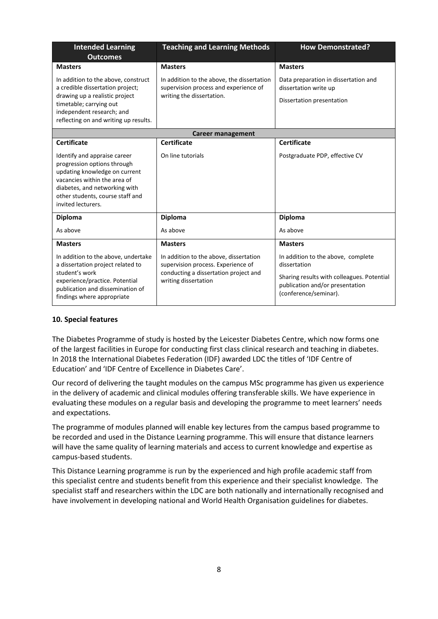| <b>Intended Learning</b><br><b>Outcomes</b>                                                                                                                                                                             | <b>Teaching and Learning Methods</b>                                                                                                          | <b>How Demonstrated?</b>                                                                                                                                     |  |
|-------------------------------------------------------------------------------------------------------------------------------------------------------------------------------------------------------------------------|-----------------------------------------------------------------------------------------------------------------------------------------------|--------------------------------------------------------------------------------------------------------------------------------------------------------------|--|
| <b>Masters</b>                                                                                                                                                                                                          | <b>Masters</b>                                                                                                                                | <b>Masters</b>                                                                                                                                               |  |
| In addition to the above, construct<br>a credible dissertation project;<br>drawing up a realistic project<br>timetable; carrying out<br>independent research; and<br>reflecting on and writing up results.              | In addition to the above, the dissertation<br>supervision process and experience of<br>writing the dissertation.                              | Data preparation in dissertation and<br>dissertation write up<br>Dissertation presentation                                                                   |  |
| Career management                                                                                                                                                                                                       |                                                                                                                                               |                                                                                                                                                              |  |
| <b>Certificate</b>                                                                                                                                                                                                      | <b>Certificate</b>                                                                                                                            | <b>Certificate</b>                                                                                                                                           |  |
| Identify and appraise career<br>progression options through<br>updating knowledge on current<br>vacancies within the area of<br>diabetes, and networking with<br>other students, course staff and<br>invited lecturers. | On line tutorials                                                                                                                             | Postgraduate PDP, effective CV                                                                                                                               |  |
| <b>Diploma</b>                                                                                                                                                                                                          | <b>Diploma</b>                                                                                                                                | <b>Diploma</b>                                                                                                                                               |  |
| As above                                                                                                                                                                                                                | As above                                                                                                                                      | As above                                                                                                                                                     |  |
| <b>Masters</b>                                                                                                                                                                                                          | <b>Masters</b>                                                                                                                                | <b>Masters</b>                                                                                                                                               |  |
| In addition to the above, undertake<br>a dissertation project related to<br>student's work<br>experience/practice. Potential<br>publication and dissemination of<br>findings where appropriate                          | In addition to the above, dissertation<br>supervision process. Experience of<br>conducting a dissertation project and<br>writing dissertation | In addition to the above, complete<br>dissertation<br>Sharing results with colleagues. Potential<br>publication and/or presentation<br>(conference/seminar). |  |

### **10. Special features**

The Diabetes Programme of study is hosted by the Leicester Diabetes Centre, which now forms one of the largest facilities in Europe for conducting first class clinical research and teaching in diabetes. In 2018 the International Diabetes Federation (IDF) awarded LDC the titles of 'IDF Centre of Education' and 'IDF Centre of Excellence in Diabetes Care'.

Our record of delivering the taught modules on the campus MSc programme has given us experience in the delivery of academic and clinical modules offering transferable skills. We have experience in evaluating these modules on a regular basis and developing the programme to meet learners' needs and expectations.

The programme of modules planned will enable key lectures from the campus based programme to be recorded and used in the Distance Learning programme. This will ensure that distance learners will have the same quality of learning materials and access to current knowledge and expertise as campus-based students.

This Distance Learning programme is run by the experienced and high profile academic staff from this specialist centre and students benefit from this experience and their specialist knowledge. The specialist staff and researchers within the LDC are both nationally and internationally recognised and have involvement in developing national and World Health Organisation guidelines for diabetes.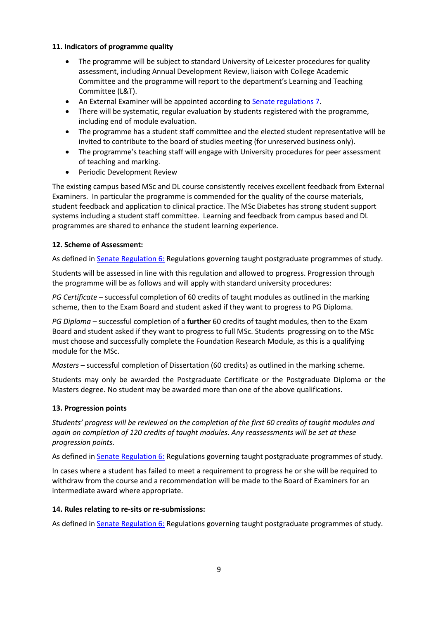### **11. Indicators of programme quality**

- The programme will be subject to standard University of Leicester procedures for quality assessment, including Annual Development Review, liaison with College Academic Committee and the programme will report to the department's Learning and Teaching Committee (L&T).
- An External Examiner will be appointed according to [Senate regulations 7.](http://www.le.ac.uk/senate-regulations)
- There will be systematic, regular evaluation by students registered with the programme, including end of module evaluation.
- The programme has a student staff committee and the elected student representative will be invited to contribute to the board of studies meeting (for unreserved business only).
- The programme's teaching staff will engage with University procedures for peer assessment of teaching and marking.
- Periodic Development Review

The existing campus based MSc and DL course consistently receives excellent feedback from External Examiners. In particular the programme is commended for the quality of the course materials, student feedback and application to clinical practice. The MSc Diabetes has strong student support systems including a student staff committee. Learning and feedback from campus based and DL programmes are shared to enhance the student learning experience.

### **12. Scheme of Assessment:**

As defined in **Senate Regulation 6: Regulations governing taught postgraduate programmes of study.** 

Students will be assessed in line with this regulation and allowed to progress. Progression through the programme will be as follows and will apply with standard university procedures:

*PG Certificate* – successful completion of 60 credits of taught modules as outlined in the marking scheme, then to the Exam Board and student asked if they want to progress to PG Diploma.

*PG Diploma –* successful completion of a **further** 60 credits of taught modules, then to the Exam Board and student asked if they want to progress to full MSc. Students progressing on to the MSc must choose and successfully complete the Foundation Research Module, as this is a qualifying module for the MSc.

*Masters* – successful completion of Dissertation (60 credits) as outlined in the marking scheme.

Students may only be awarded the Postgraduate Certificate or the Postgraduate Diploma or the Masters degree. No student may be awarded more than one of the above qualifications.

### **13. Progression points**

*Students' progress will be reviewed on the completion of the first 60 credits of taught modules and again on completion of 120 credits of taught modules. Any reassessments will be set at these progression points.*

As defined i[n Senate Regulation](http://www.le.ac.uk/senate-regulation6) 6: Regulations governing taught postgraduate programmes of study.

In cases where a student has failed to meet a requirement to progress he or she will be required to withdraw from the course and a recommendation will be made to the Board of Examiners for an intermediate award where appropriate.

### **14. Rules relating to re-sits or re-submissions:**

As defined i[n Senate Regulation 6:](http://www.le.ac.uk/senate-regulation6) Regulations governing taught postgraduate programmes of study.